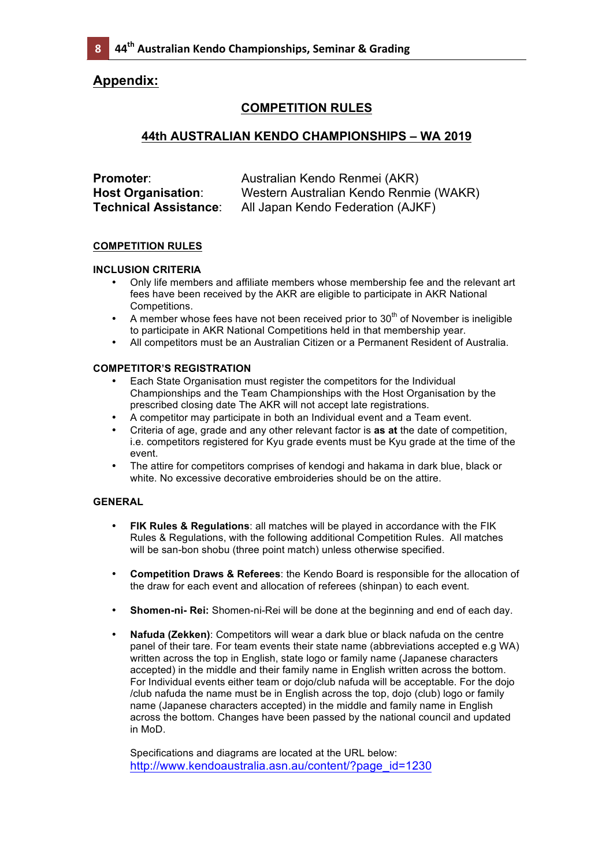# **Appendix:**

## **COMPETITION RULES**

## **44th AUSTRALIAN KENDO CHAMPIONSHIPS – WA 2019**

| Promoter:                    | Australian Kendo Renmei (AKR)          |
|------------------------------|----------------------------------------|
| <b>Host Organisation:</b>    | Western Australian Kendo Renmie (WAKR) |
| <b>Technical Assistance:</b> | All Japan Kendo Federation (AJKF)      |

## **COMPETITION RULES**

## **INCLUSION CRITERIA**

- Only life members and affiliate members whose membership fee and the relevant art fees have been received by the AKR are eligible to participate in AKR National Competitions.
- A member whose fees have not been received prior to  $30<sup>th</sup>$  of November is ineligible to participate in AKR National Competitions held in that membership year.
- All competitors must be an Australian Citizen or a Permanent Resident of Australia.

## **COMPETITOR'S REGISTRATION**

- Each State Organisation must register the competitors for the Individual Championships and the Team Championships with the Host Organisation by the prescribed closing date The AKR will not accept late registrations.
- A competitor may participate in both an Individual event and a Team event.
- Criteria of age, grade and any other relevant factor is **as at** the date of competition, i.e. competitors registered for Kyu grade events must be Kyu grade at the time of the event.
- The attire for competitors comprises of kendogi and hakama in dark blue, black or white. No excessive decorative embroideries should be on the attire.

## **GENERAL**

- **FIK Rules & Regulations**: all matches will be played in accordance with the FIK Rules & Regulations, with the following additional Competition Rules. All matches will be san-bon shobu (three point match) unless otherwise specified.
- **Competition Draws & Referees**: the Kendo Board is responsible for the allocation of the draw for each event and allocation of referees (shinpan) to each event.
- **Shomen-ni- Rei:** Shomen-ni-Rei will be done at the beginning and end of each day.
- **Nafuda (Zekken)**: Competitors will wear a dark blue or black nafuda on the centre panel of their tare. For team events their state name (abbreviations accepted e.g WA) written across the top in English, state logo or family name (Japanese characters accepted) in the middle and their family name in English written across the bottom. For Individual events either team or dojo/club nafuda will be acceptable. For the dojo /club nafuda the name must be in English across the top, dojo (club) logo or family name (Japanese characters accepted) in the middle and family name in English across the bottom. Changes have been passed by the national council and updated in MoD.

Specifications and diagrams are located at the URL below: http://www.kendoaustralia.asn.au/content/?page\_id=1230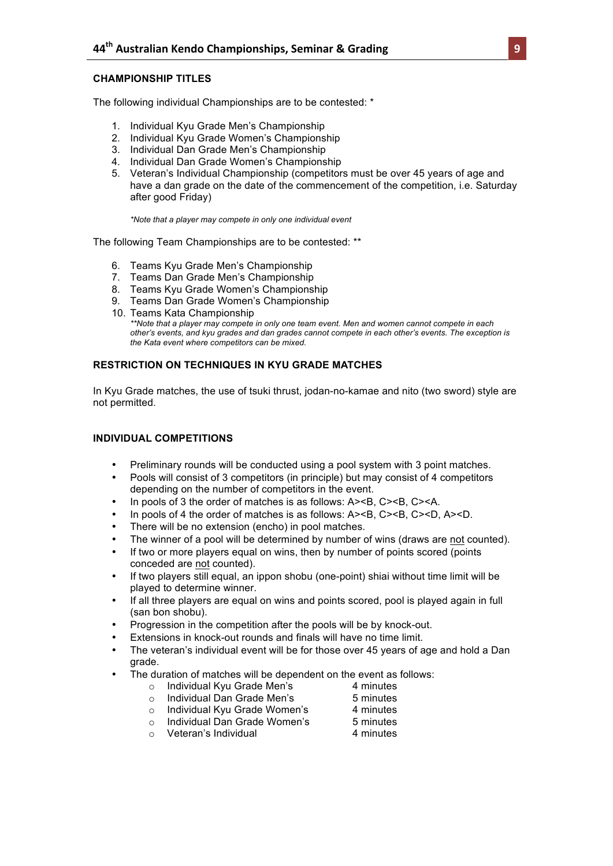#### **CHAMPIONSHIP TITLES**

The following individual Championships are to be contested: \*

- 1. Individual Kyu Grade Men's Championship
- 2. Individual Kyu Grade Women's Championship
- 3. Individual Dan Grade Men's Championship
- 4. Individual Dan Grade Women's Championship
- 5. Veteran's Individual Championship (competitors must be over 45 years of age and have a dan grade on the date of the commencement of the competition, i.e. Saturday after good Friday)

*\*Note that a player may compete in only one individual event*

The following Team Championships are to be contested: \*\*

- 6. Teams Kyu Grade Men's Championship
- 7. Teams Dan Grade Men's Championship
- 8. Teams Kyu Grade Women's Championship
- 9. Teams Dan Grade Women's Championship
- 10. Teams Kata Championship *\*\*Note that a player may compete in only one team event. Men and women cannot compete in each other's events, and kyu grades and dan grades cannot compete in each other's events. The exception is the Kata event where competitors can be mixed.*

#### **RESTRICTION ON TECHNIQUES IN KYU GRADE MATCHES**

In Kyu Grade matches, the use of tsuki thrust, jodan-no-kamae and nito (two sword) style are not permitted.

#### **INDIVIDUAL COMPETITIONS**

- Preliminary rounds will be conducted using a pool system with 3 point matches.
- Pools will consist of 3 competitors (in principle) but may consist of 4 competitors depending on the number of competitors in the event.
- In pools of 3 the order of matches is as follows: A><B, C><B, C><A.
- In pools of 4 the order of matches is as follows: A><B, C><B, C><D, A><D.
- There will be no extension (encho) in pool matches.
- The winner of a pool will be determined by number of wins (draws are not counted).
- If two or more players equal on wins, then by number of points scored (points conceded are not counted).
- If two players still equal, an ippon shobu (one-point) shiai without time limit will be played to determine winner.
- If all three players are equal on wins and points scored, pool is played again in full (san bon shobu).
- Progression in the competition after the pools will be by knock-out.
- Extensions in knock-out rounds and finals will have no time limit.
- The veteran's individual event will be for those over 45 years of age and hold a Dan grade.
- The duration of matches will be dependent on the event as follows:<br>  $\circ$  Individual Kyu Grade Men's<br>
4 minutes
	- $\circ$  Individual Kyu Grade Men's
- 
- o Individual Dan Grade Men's 5 minutes o Individual Kyu Grade Women's 4 minutes
- 
- o Individual Dan Grade Women's 5 minutes
	-
- $\circ$  Veteran's Individual 4 minutes
-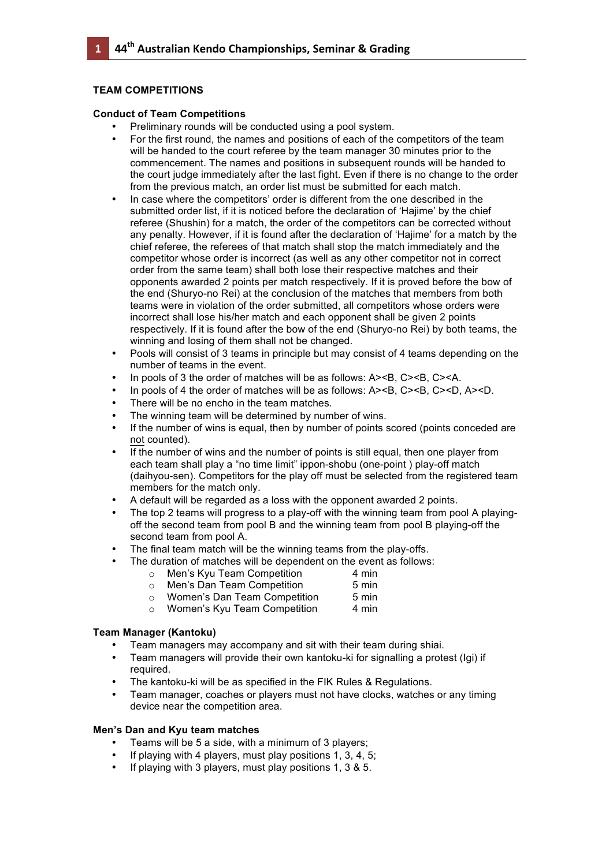#### **TEAM COMPETITIONS**

**0**

#### **Conduct of Team Competitions**

- Preliminary rounds will be conducted using a pool system.
- For the first round, the names and positions of each of the competitors of the team will be handed to the court referee by the team manager 30 minutes prior to the commencement. The names and positions in subsequent rounds will be handed to the court judge immediately after the last fight. Even if there is no change to the order from the previous match, an order list must be submitted for each match.
- In case where the competitors' order is different from the one described in the submitted order list, if it is noticed before the declaration of 'Hajime' by the chief referee (Shushin) for a match, the order of the competitors can be corrected without any penalty. However, if it is found after the declaration of 'Hajime' for a match by the chief referee, the referees of that match shall stop the match immediately and the competitor whose order is incorrect (as well as any other competitor not in correct order from the same team) shall both lose their respective matches and their opponents awarded 2 points per match respectively. If it is proved before the bow of the end (Shuryo-no Rei) at the conclusion of the matches that members from both teams were in violation of the order submitted, all competitors whose orders were incorrect shall lose his/her match and each opponent shall be given 2 points respectively. If it is found after the bow of the end (Shuryo-no Rei) by both teams, the winning and losing of them shall not be changed.
- Pools will consist of 3 teams in principle but may consist of 4 teams depending on the number of teams in the event.
- In pools of 3 the order of matches will be as follows: A><B, C><B, C><A.
- In pools of 4 the order of matches will be as follows: A><B, C><B, C><D, A><D.
- There will be no encho in the team matches.
- The winning team will be determined by number of wins.
- If the number of wins is equal, then by number of points scored (points conceded are not counted).
- If the number of wins and the number of points is still equal, then one player from each team shall play a "no time limit" ippon-shobu (one-point ) play-off match (daihyou-sen). Competitors for the play off must be selected from the registered team members for the match only.
- A default will be regarded as a loss with the opponent awarded 2 points.
- The top 2 teams will progress to a play-off with the winning team from pool A playingoff the second team from pool B and the winning team from pool B playing-off the second team from pool A.
- The final team match will be the winning teams from the play-offs.
- The duration of matches will be dependent on the event as follows:<br>  $\circ$  Men's Kyu Team Competition 4 min
	- $\circ$  Men's Kyu Team Competition
	- o Men's Dan Team Competition 5 min
	- o Women's Dan Team Competition 5 min
	- o Women's Kyu Team Competition 4 min

## **Team Manager (Kantoku)**

- Team managers may accompany and sit with their team during shiai.
- Team managers will provide their own kantoku-ki for signalling a protest (Igi) if required.
- The kantoku-ki will be as specified in the FIK Rules & Regulations.
- Team manager, coaches or players must not have clocks, watches or any timing device near the competition area.

## **Men's Dan and Kyu team matches**

- Teams will be 5 a side, with a minimum of 3 players;
- If playing with 4 players, must play positions 1, 3, 4, 5;
- If playing with 3 players, must play positions 1, 3 & 5.